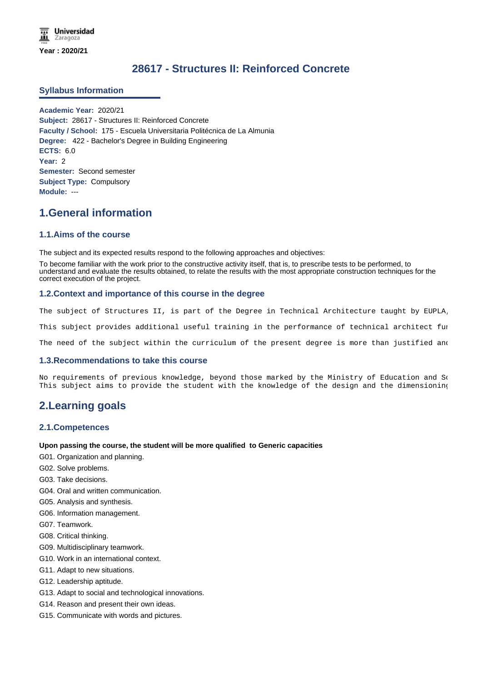# **28617 - Structures II: Reinforced Concrete**

### **Syllabus Information**

**Academic Year:** 2020/21 **Subject:** 28617 - Structures II: Reinforced Concrete **Faculty / School:** 175 - Escuela Universitaria Politécnica de La Almunia **Degree:** 422 - Bachelor's Degree in Building Engineering **ECTS:** 6.0 **Year:** 2 **Semester:** Second semester **Subject Type:** Compulsory **Module:** ---

# **1.General information**

### **1.1.Aims of the course**

The subject and its expected results respond to the following approaches and objectives:

To become familiar with the work prior to the constructive activity itself, that is, to prescribe tests to be performed, to understand and evaluate the results obtained, to relate the results with the most appropriate construction techniques for the correct execution of the project.

### **1.2.Context and importance of this course in the degree**

The subject of Structures II, is part of the Degree in Technical Architecture taught by EUPLA

This subject provides additional useful training in the performance of technical architect fur

The need of the subject within the curriculum of the present degree is more than justified and

### **1.3.Recommendations to take this course**

No requirements of previous knowledge, beyond those marked by the Ministry of Education and So This subject aims to provide the student with the knowledge of the design and the dimensioning

# **2.Learning goals**

### **2.1.Competences**

### **Upon passing the course, the student will be more qualified to Generic capacities**

- G01. Organization and planning.
- G02. Solve problems.
- G03. Take decisions.
- G04. Oral and written communication.
- G05. Analysis and synthesis.
- G06. Information management.
- G07. Teamwork.
- G08. Critical thinking.
- G09. Multidisciplinary teamwork.
- G10. Work in an international context.
- G11. Adapt to new situations.
- G12. Leadership aptitude.
- G13. Adapt to social and technological innovations.
- G14. Reason and present their own ideas.
- G15. Communicate with words and pictures.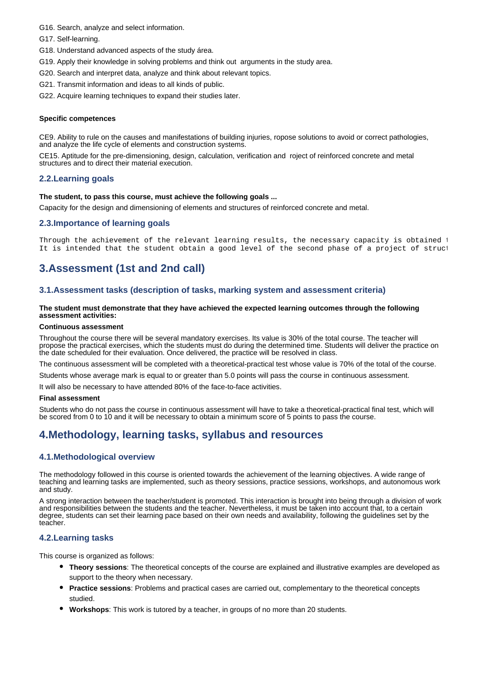- G16. Search, analyze and select information.
- G17. Self-learning.
- G18. Understand advanced aspects of the study área.
- G19. Apply their knowledge in solving problems and think out arguments in the study area.
- G20. Search and interpret data, analyze and think about relevant topics.
- G21. Transmit information and ideas to all kinds of public.
- G22. Acquire learning techniques to expand their studies later.

### **Specific competences**

CE9. Ability to rule on the causes and manifestations of building injuries, ropose solutions to avoid or correct pathologies, and analyze the life cycle of elements and construction systems.

CE15. Aptitude for the pre-dimensioning, design, calculation, verification and roject of reinforced concrete and metal structures and to direct their material execution.

### **2.2.Learning goals**

#### **The student, to pass this course, must achieve the following goals ...**

Capacity for the design and dimensioning of elements and structures of reinforced concrete and metal.

#### **2.3.Importance of learning goals**

Through the achievement of the relevant learning results, the necessary capacity is obtained t It is intended that the student obtain a good level of the second phase of a project of struct

### **3.Assessment (1st and 2nd call)**

### **3.1.Assessment tasks (description of tasks, marking system and assessment criteria)**

#### **The student must demonstrate that they have achieved the expected learning outcomes through the following assessment activities:**

#### **Continuous assessment**

Throughout the course there will be several mandatory exercises. Its value is 30% of the total course. The teacher will propose the practical exercises, which the students must do during the determined time. Students will deliver the practice on the date scheduled for their evaluation. Once delivered, the practice will be resolved in class.

The continuous assessment will be completed with a theoretical-practical test whose value is 70% of the total of the course.

Students whose average mark is equal to or greater than 5.0 points will pass the course in continuous assessment.

It will also be necessary to have attended 80% of the face-to-face activities.

#### **Final assessment**

Students who do not pass the course in continuous assessment will have to take a theoretical-practical final test, which will be scored from 0 to 10 and it will be necessary to obtain a minimum score of 5 points to pass the course.

### **4.Methodology, learning tasks, syllabus and resources**

### **4.1.Methodological overview**

The methodology followed in this course is oriented towards the achievement of the learning objectives. A wide range of teaching and learning tasks are implemented, such as theory sessions, practice sessions, workshops, and autonomous work and study.

A strong interaction between the teacher/student is promoted. This interaction is brought into being through a division of work and responsibilities between the students and the teacher. Nevertheless, it must be taken into account that, to a certain degree, students can set their learning pace based on their own needs and availability, following the guidelines set by the teacher.

### **4.2.Learning tasks**

This course is organized as follows:

- **Theory sessions**: The theoretical concepts of the course are explained and illustrative examples are developed as support to the theory when necessary.
- **Practice sessions**: Problems and practical cases are carried out, complementary to the theoretical concepts studied.
- **Workshops**: This work is tutored by a teacher, in groups of no more than 20 students.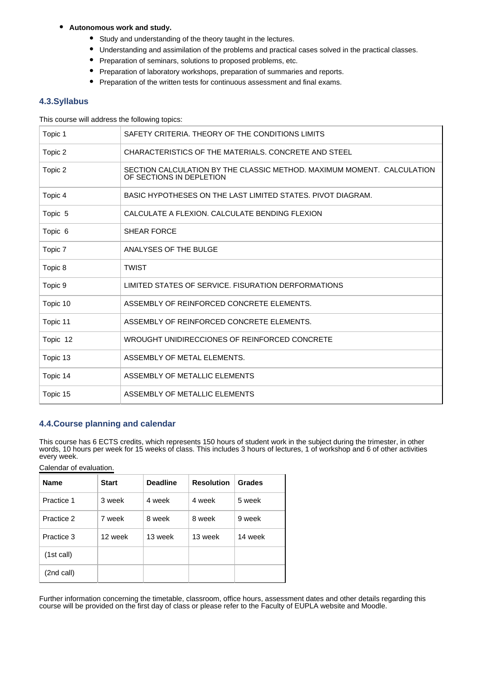#### $\bullet$ **Autonomous work and study.**

- Study and understanding of the theory taught in the lectures.
- Understanding and assimilation of the problems and practical cases solved in the practical classes.
- Preparation of seminars, solutions to proposed problems, etc.
- Preparation of laboratory workshops, preparation of summaries and reports.
- Preparation of the written tests for continuous assessment and final exams.

### **4.3.Syllabus**

This course will address the following topics:

| Topic 1  | SAFETY CRITERIA. THEORY OF THE CONDITIONS LIMITS                                                   |  |  |  |
|----------|----------------------------------------------------------------------------------------------------|--|--|--|
| Topic 2  | CHARACTERISTICS OF THE MATERIALS, CONCRETE AND STEEL                                               |  |  |  |
| Topic 2  | SECTION CALCULATION BY THE CLASSIC METHOD, MAXIMUM MOMENT. CALCULATION<br>OF SECTIONS IN DEPLETION |  |  |  |
| Topic 4  | BASIC HYPOTHESES ON THE LAST LIMITED STATES. PIVOT DIAGRAM.                                        |  |  |  |
| Topic 5  | CALCULATE A FLEXION. CALCULATE BENDING FLEXION                                                     |  |  |  |
| Topic 6  | <b>SHEAR FORCE</b>                                                                                 |  |  |  |
| Topic 7  | ANALYSES OF THE BULGE                                                                              |  |  |  |
| Topic 8  | <b>TWIST</b>                                                                                       |  |  |  |
| Topic 9  | LIMITED STATES OF SERVICE. FISURATION DERFORMATIONS                                                |  |  |  |
| Topic 10 | ASSEMBLY OF REINFORCED CONCRETE ELEMENTS.                                                          |  |  |  |
| Topic 11 | ASSEMBLY OF REINFORCED CONCRETE ELEMENTS.                                                          |  |  |  |
| Topic 12 | WROUGHT UNIDIRECCIONES OF REINFORCED CONCRETE                                                      |  |  |  |
| Topic 13 | ASSEMBLY OF METAL ELEMENTS.                                                                        |  |  |  |
| Topic 14 | ASSEMBLY OF METALLIC ELEMENTS                                                                      |  |  |  |
| Topic 15 | ASSEMBLY OF METALLIC ELEMENTS                                                                      |  |  |  |

### **4.4.Course planning and calendar**

This course has 6 ECTS credits, which represents 150 hours of student work in the subject during the trimester, in other words, 10 hours per week for 15 weeks of class. This includes 3 hours of lectures, 1 of workshop and 6 of other activities every week.

Calendar of evaluation.

| <b>Name</b> | <b>Start</b> | <b>Deadline</b> | <b>Resolution</b> | Grades  |
|-------------|--------------|-----------------|-------------------|---------|
| Practice 1  | 3 week       | 4 week          | 4 week            | 5 week  |
| Practice 2  | 7 week       | 8 week          | 8 week            | 9 week  |
| Practice 3  | 12 week      | 13 week         | 13 week           | 14 week |
| (1st call)  |              |                 |                   |         |
| (2nd call)  |              |                 |                   |         |

Further information concerning the timetable, classroom, office hours, assessment dates and other details regarding this course will be provided on the first day of class or please refer to the Faculty of EUPLA website and Moodle.